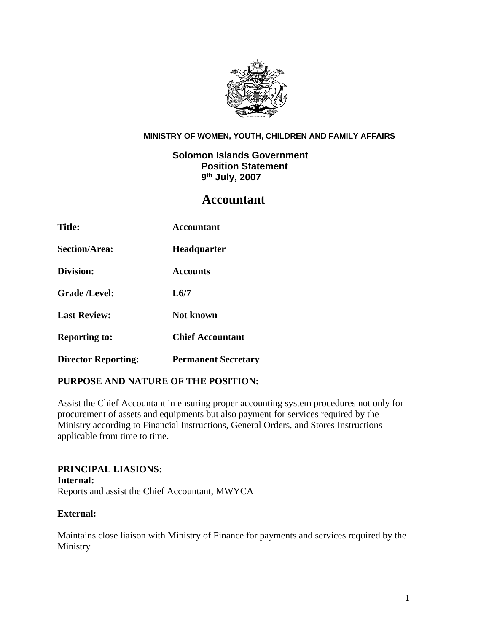

#### **MINISTRY OF WOMEN, YOUTH, CHILDREN AND FAMILY AFFAIRS**

# **Solomon Islands Government Position Statement 9th July, 2007**

# **Accountant**

| <b>Title:</b>              | Accountant                 |
|----------------------------|----------------------------|
| <b>Section/Area:</b>       | <b>Headquarter</b>         |
| Division:                  | <b>Accounts</b>            |
| <b>Grade /Level:</b>       | L6/7                       |
| <b>Last Review:</b>        | <b>Not known</b>           |
| <b>Reporting to:</b>       | <b>Chief Accountant</b>    |
| <b>Director Reporting:</b> | <b>Permanent Secretary</b> |

## **PURPOSE AND NATURE OF THE POSITION:**

Assist the Chief Accountant in ensuring proper accounting system procedures not only for procurement of assets and equipments but also payment for services required by the Ministry according to Financial Instructions, General Orders, and Stores Instructions applicable from time to time.

## **PRINCIPAL LIASIONS: Internal:**  Reports and assist the Chief Accountant, MWYCA

## **External:**

Maintains close liaison with Ministry of Finance for payments and services required by the Ministry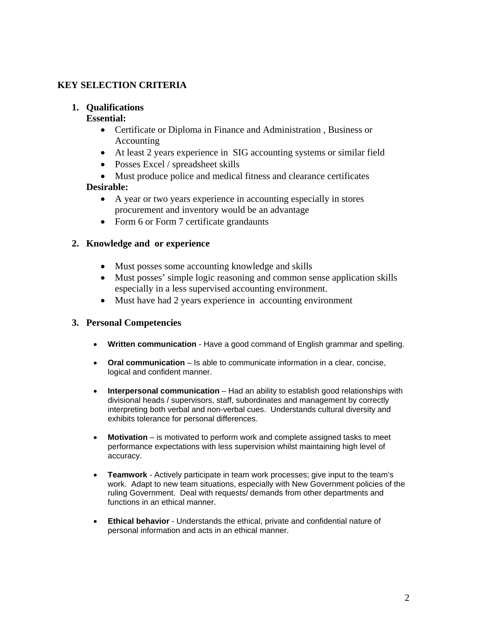# **KEY SELECTION CRITERIA**

## **1. Qualifications**

#### **Essential:**

- Certificate or Diploma in Finance and Administration , Business or Accounting
- At least 2 years experience in SIG accounting systems or similar field
- Posses Excel / spreadsheet skills
- Must produce police and medical fitness and clearance certificates

## **Desirable:**

- A year or two years experience in accounting especially in stores procurement and inventory would be an advantage
- Form 6 or Form 7 certificate grandaunts

## **2. Knowledge and or experience**

- Must posses some accounting knowledge and skills
- Must posses' simple logic reasoning and common sense application skills especially in a less supervised accounting environment.
- Must have had 2 years experience in accounting environment

## **3. Personal Competencies**

- **Written communication** Have a good command of English grammar and spelling.
- **Oral communication** Is able to communicate information in a clear, concise, logical and confident manner.
- **Interpersonal communication** Had an ability to establish good relationships with divisional heads / supervisors, staff, subordinates and management by correctly interpreting both verbal and non-verbal cues. Understands cultural diversity and exhibits tolerance for personal differences.
- **Motivation**  is motivated to perform work and complete assigned tasks to meet performance expectations with less supervision whilst maintaining high level of accuracy.
- **Teamwork** Actively participate in team work processes; give input to the team's work. Adapt to new team situations, especially with New Government policies of the ruling Government. Deal with requests/ demands from other departments and functions in an ethical manner.
- **Ethical behavior** Understands the ethical, private and confidential nature of personal information and acts in an ethical manner.